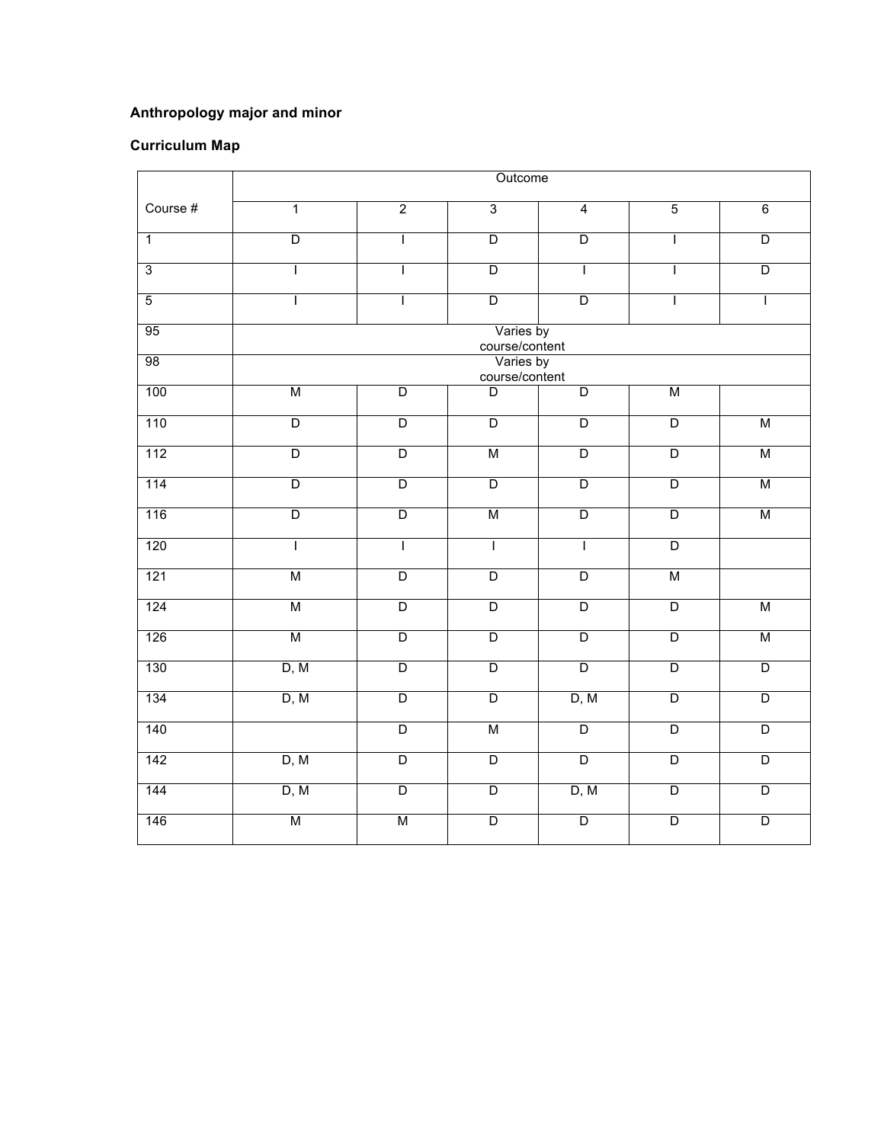## **Anthropology major and minor**

## **Curriculum Map**

|                | Outcome                     |                         |                         |                         |                         |                         |  |  |  |
|----------------|-----------------------------|-------------------------|-------------------------|-------------------------|-------------------------|-------------------------|--|--|--|
| Course #       | $\overline{1}$              | $\overline{2}$          | $\overline{3}$          | $\overline{4}$          | $\overline{5}$          | $6\overline{6}$         |  |  |  |
| $\overline{1}$ | $\overline{\mathsf{D}}$     | $\mathsf{I}$            | $\overline{\mathsf{D}}$ | $\overline{\mathsf{D}}$ | $\mathsf{I}$            | $\overline{\mathsf{D}}$ |  |  |  |
| $\overline{3}$ | I                           | T                       | $\overline{\mathsf{D}}$ | $\overline{1}$          | T                       | $\overline{\mathsf{D}}$ |  |  |  |
| $\overline{5}$ | $\overline{1}$              | $\mathbf{I}$            | $\overline{D}$          | $\overline{D}$          | $\mathbf{I}$            | $\mathbf{I}$            |  |  |  |
| 95             | Varies by<br>course/content |                         |                         |                         |                         |                         |  |  |  |
| 98             | Varies by<br>course/content |                         |                         |                         |                         |                         |  |  |  |
| 100            | M                           | $\overline{\mathsf{D}}$ | D                       | $\overline{\mathsf{D}}$ | М                       |                         |  |  |  |
| 110            | $\overline{\mathsf{D}}$     | $\overline{D}$          | $\overline{D}$          | $\overline{\mathsf{D}}$ | $\overline{\mathsf{D}}$ | М                       |  |  |  |
| $112$          | $\overline{\mathsf{D}}$     | $\overline{D}$          | M                       | $\overline{\mathsf{D}}$ | $\overline{D}$          | M                       |  |  |  |
| $114$          | $\overline{\mathsf{D}}$     | $\overline{\mathsf{D}}$ | $\overline{\mathsf{D}}$ | $\overline{\mathsf{D}}$ | $\overline{\mathsf{D}}$ | M                       |  |  |  |
| 116            | $\overline{\mathsf{D}}$     | $\overline{\mathsf{D}}$ | М                       | $\overline{\mathsf{D}}$ | $\overline{\mathsf{D}}$ | M                       |  |  |  |
| 120            | ī                           | T                       | ī                       | ī                       | $\overline{\mathsf{D}}$ |                         |  |  |  |
| 121            | М                           | $\overline{\mathsf{D}}$ | $\overline{\mathsf{D}}$ | $\overline{\mathsf{D}}$ | М                       |                         |  |  |  |
| 124            | M                           | $\overline{D}$          | $\overline{D}$          | $\overline{D}$          | $\overline{D}$          | M                       |  |  |  |
| 126            | М                           | $\overline{\mathsf{D}}$ | $\overline{\mathsf{D}}$ | $\overline{\mathsf{D}}$ | $\overline{\mathsf{D}}$ | М                       |  |  |  |
| 130            | D, M                        | $\overline{\mathsf{D}}$ | $\overline{\mathsf{D}}$ | $\overline{\mathsf{D}}$ | $\overline{\mathsf{D}}$ | $\overline{\mathsf{D}}$ |  |  |  |
| 134            | D, M                        | $\overline{\mathsf{D}}$ | $\overline{D}$          | D, M                    | $\overline{\mathsf{D}}$ | $\overline{\mathsf{D}}$ |  |  |  |
| 140            |                             | $\overline{\mathsf{D}}$ | M                       | $\overline{D}$          | $\overline{D}$          | $\overline{\mathsf{D}}$ |  |  |  |
| 142            | D, M                        | $\overline{\mathsf{D}}$ | $\overline{\mathsf{D}}$ | $\overline{D}$          | $\overline{\mathsf{D}}$ | $\overline{D}$          |  |  |  |
| 144            | D, M                        | $\overline{\mathsf{D}}$ | $\overline{\mathsf{D}}$ | D, M                    | $\overline{\mathsf{D}}$ | $\overline{\mathsf{D}}$ |  |  |  |
| 146            | M                           | M                       | $\overline{\mathsf{D}}$ | $\overline{D}$          | $\overline{D}$          | $\overline{D}$          |  |  |  |